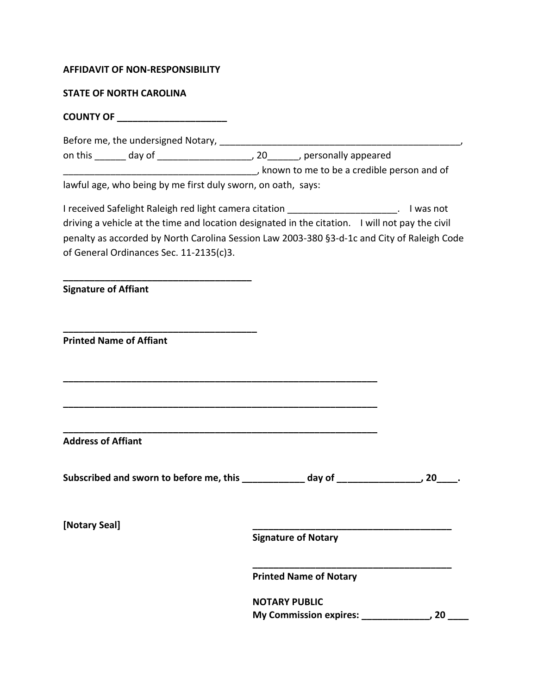## **AFFIDAVIT OF NON-RESPONSIBILITY**

## **STATE OF NORTH CAROLINA**

**COUNTY OF \_\_\_\_\_\_\_\_\_\_\_\_\_\_\_\_\_\_\_\_\_**

**\_\_\_\_\_\_\_\_\_\_\_\_\_\_\_\_\_\_\_\_\_\_\_\_\_\_\_\_\_\_\_\_\_\_\_\_**

**\_\_\_\_\_\_\_\_\_\_\_\_\_\_\_\_\_\_\_\_\_\_\_\_\_\_\_\_\_\_\_\_\_\_\_\_\_**

Before me, the undersigned Notary, \_\_\_\_\_\_\_\_\_\_\_\_\_\_\_\_\_\_\_\_\_\_\_\_\_\_\_\_\_\_\_\_\_\_\_\_\_\_\_\_\_\_\_\_\_\_, on this \_\_\_\_\_\_ day of \_\_\_\_\_\_\_\_\_\_\_\_\_\_\_\_\_\_, 20\_\_\_\_\_\_, personally appeared \_\_\_\_\_\_\_\_\_\_\_\_\_\_\_\_\_\_\_\_\_\_\_\_\_\_\_\_\_\_\_\_\_\_\_\_\_, known to me to be a credible person and of

lawful age, who being by me first duly sworn, on oath, says:

I received Safelight Raleigh red light camera citation **Fig. 1. I was not** and the same of the same of the same of driving a vehicle at the time and location designated in the citation. I will not pay the civil penalty as accorded by North Carolina Session Law 2003-380 §3-d-1c and City of Raleigh Code of General Ordinances Sec. 11-2135(c)3.

**Signature of Affiant**

**Printed Name of Affiant**

**Address of Affiant**

Subscribed and sworn to before me, this day of \_\_\_\_\_\_\_\_\_\_\_\_\_\_\_, 20\_\_\_\_.

**\_\_\_\_\_\_\_\_\_\_\_\_\_\_\_\_\_\_\_\_\_\_\_\_\_\_\_\_\_\_\_\_\_\_\_\_\_\_\_\_\_\_\_\_\_\_\_\_\_\_\_\_\_\_\_\_\_\_\_\_**

**\_\_\_\_\_\_\_\_\_\_\_\_\_\_\_\_\_\_\_\_\_\_\_\_\_\_\_\_\_\_\_\_\_\_\_\_\_\_\_\_\_\_\_\_\_\_\_\_\_\_\_\_\_\_\_\_\_\_\_\_**

**\_\_\_\_\_\_\_\_\_\_\_\_\_\_\_\_\_\_\_\_\_\_\_\_\_\_\_\_\_\_\_\_\_\_\_\_\_\_\_\_\_\_\_\_\_\_\_\_\_\_\_\_\_\_\_\_\_\_\_\_**

**[Notary Seal] \_\_\_\_\_\_\_\_\_\_\_\_\_\_\_\_\_\_\_\_\_\_\_\_\_\_\_\_\_\_\_\_\_\_\_\_\_\_**

**Signature of Notary**

**Printed Name of Notary**

**NOTARY PUBLIC My Commission expires: \_\_\_\_\_\_\_\_\_\_\_\_\_, 20 \_\_\_\_**

**\_\_\_\_\_\_\_\_\_\_\_\_\_\_\_\_\_\_\_\_\_\_\_\_\_\_\_\_\_\_\_\_\_\_\_\_\_\_**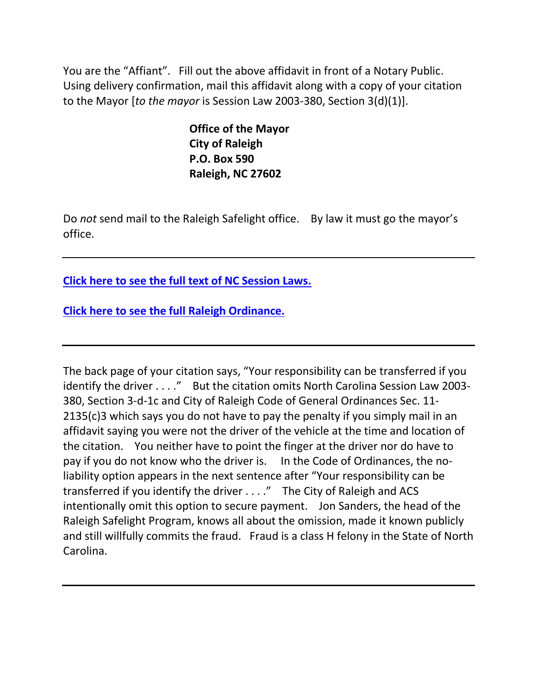You are the "Affiant". Fill out the above affidavit in front of a Notary Public. Using delivery confirmation, mail this affidavit along with a copy of your citation to the Mayor [*to the mayor* is Session Law 2003-380, Section 3(d)(1)].

> **Office of the Mayor City of Raleigh P.O. Box 590 Raleigh, NC 27602**

Do *not* send mail to the Raleigh Safelight office. By law it must go the mayor's office.

**[Click here to see the full text of NC Session Laws.](http://redlightrobber.com/red/links_pdf/NC-Session-Laws-Red-Light-Cameras.pdf)**

**[Click here to see the full Raleigh](http://redlightrobber.com/red/links_pdf/Raleigh-Section-11-Transportation.pdf) Ordinance.**

The back page of your citation says, "Your responsibility can be transferred if you identify the driver . . . ." But the citation omits North Carolina Session Law 2003-380, Section 3-d-1c and City of Raleigh Code of General Ordinances Sec. 11- 2135(c)3 which says you do not have to pay the penalty if you simply mail in an affidavit saying you were not the driver of the vehicle at the time and location of the citation. You neither have to point the finger at the driver nor do have to pay if you do not know who the driver is. In the Code of Ordinances, the noliability option appears in the next sentence after "Your responsibility can be transferred if you identify the driver . . . ." The City of Raleigh and ACS intentionally omit this option to secure payment. Jon Sanders, the head of the Raleigh Safelight Program, knows all about the omission, made it known publicly and still willfully commits the fraud. Fraud is a class H felony in the State of North Carolina.